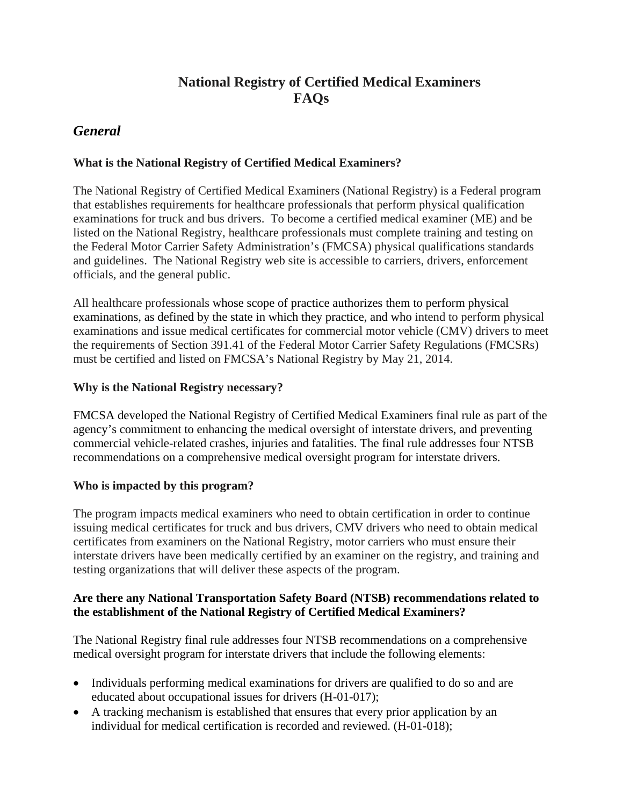# **National Registry of Certified Medical Examiners FAQs**

# *General*

## **What is the National Registry of Certified Medical Examiners?**

The National Registry of Certified Medical Examiners (National Registry) is a Federal program that establishes requirements for healthcare professionals that perform physical qualification examinations for truck and bus drivers. To become a certified medical examiner (ME) and be listed on the National Registry, healthcare professionals must complete training and testing on the Federal Motor Carrier Safety Administration's (FMCSA) physical qualifications standards and guidelines. The National Registry web site is accessible to carriers, drivers, enforcement officials, and the general public.

All healthcare professionals whose scope of practice authorizes them to perform physical examinations, as defined by the state in which they practice, and who intend to perform physical examinations and issue medical certificates for commercial motor vehicle (CMV) drivers to meet the requirements of Section 391.41 of the Federal Motor Carrier Safety Regulations (FMCSRs) must be certified and listed on FMCSA's National Registry by May 21, 2014.

### **Why is the National Registry necessary?**

FMCSA developed the National Registry of Certified Medical Examiners final rule as part of the agency's commitment to enhancing the medical oversight of interstate drivers, and preventing commercial vehicle-related crashes, injuries and fatalities. The final rule addresses four NTSB recommendations on a comprehensive medical oversight program for interstate drivers.

### **Who is impacted by this program?**

The program impacts medical examiners who need to obtain certification in order to continue issuing medical certificates for truck and bus drivers, CMV drivers who need to obtain medical certificates from examiners on the National Registry, motor carriers who must ensure their interstate drivers have been medically certified by an examiner on the registry, and training and testing organizations that will deliver these aspects of the program.

### **Are there any National Transportation Safety Board (NTSB) recommendations related to the establishment of the National Registry of Certified Medical Examiners?**

The National Registry final rule addresses four NTSB recommendations on a comprehensive medical oversight program for interstate drivers that include the following elements:

- Individuals performing medical examinations for drivers are qualified to do so and are educated about occupational issues for drivers (H-01-017);
- A tracking mechanism is established that ensures that every prior application by an individual for medical certification is recorded and reviewed. (H-01-018);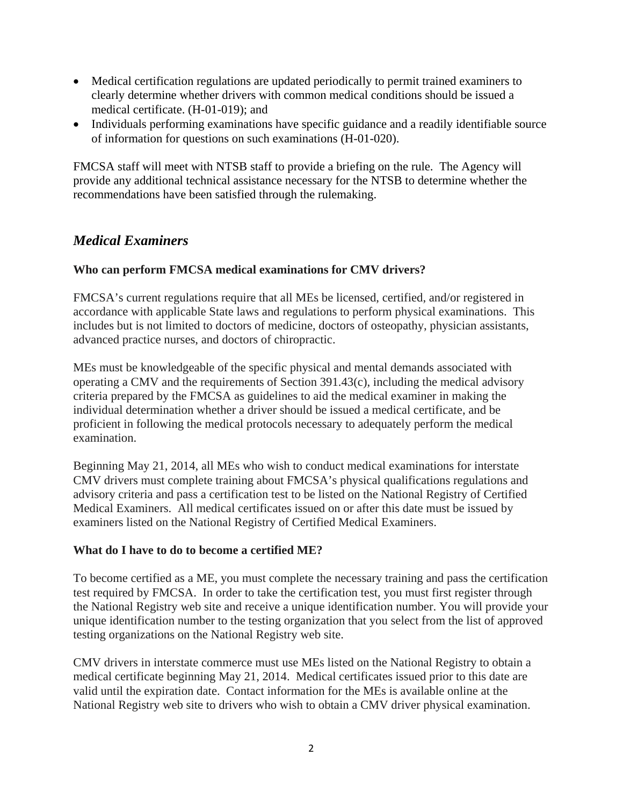- Medical certification regulations are updated periodically to permit trained examiners to clearly determine whether drivers with common medical conditions should be issued a medical certificate. (H-01-019); and
- Individuals performing examinations have specific guidance and a readily identifiable source of information for questions on such examinations (H-01-020).

FMCSA staff will meet with NTSB staff to provide a briefing on the rule. The Agency will provide any additional technical assistance necessary for the NTSB to determine whether the recommendations have been satisfied through the rulemaking.

# *Medical Examiners*

#### **Who can perform FMCSA medical examinations for CMV drivers?**

FMCSA's current regulations require that all MEs be licensed, certified, and/or registered in accordance with applicable State laws and regulations to perform physical examinations. This includes but is not limited to doctors of medicine, doctors of osteopathy, physician assistants, advanced practice nurses, and doctors of chiropractic.

MEs must be knowledgeable of the specific physical and mental demands associated with operating a CMV and the requirements of Section 391.43(c), including the medical advisory criteria prepared by the FMCSA as guidelines to aid the medical examiner in making the individual determination whether a driver should be issued a medical certificate, and be proficient in following the medical protocols necessary to adequately perform the medical examination.

Beginning May 21, 2014, all MEs who wish to conduct medical examinations for interstate CMV drivers must complete training about FMCSA's physical qualifications regulations and advisory criteria and pass a certification test to be listed on the National Registry of Certified Medical Examiners. All medical certificates issued on or after this date must be issued by examiners listed on the National Registry of Certified Medical Examiners.

#### **What do I have to do to become a certified ME?**

To become certified as a ME, you must complete the necessary training and pass the certification test required by FMCSA. In order to take the certification test, you must first register through the National Registry web site and receive a unique identification number. You will provide your unique identification number to the testing organization that you select from the list of approved testing organizations on the National Registry web site.

CMV drivers in interstate commerce must use MEs listed on the National Registry to obtain a medical certificate beginning May 21, 2014. Medical certificates issued prior to this date are valid until the expiration date. Contact information for the MEs is available online at the National Registry web site to drivers who wish to obtain a CMV driver physical examination.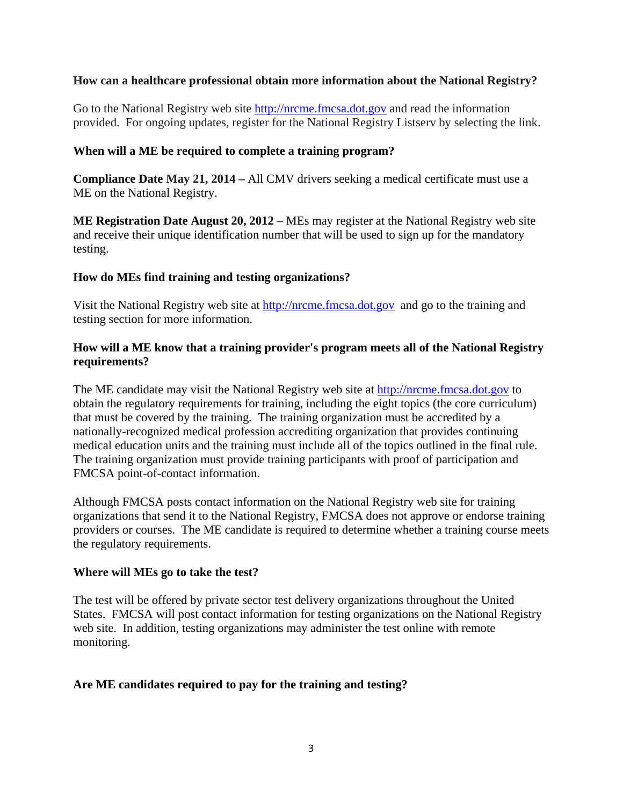#### **How can a healthcare professional obtain more information about the National Registry?**

Go to the National Registry web site http://nrcme.fmcsa.dot.gov and read the information provided. For ongoing updates, register for the National Registry Listserv by selecting the link.

#### **When will a ME be required to complete a training program?**

**Compliance Date May 21, 2014 –** All CMV drivers seeking a medical certificate must use a ME on the National Registry.

**ME Registration Date August 20, 2012** – MEs may register at the National Registry web site and receive their unique identification number that will be used to sign up for the mandatory testing.

#### **How do MEs find training and testing organizations?**

Visit the National Registry web site at http://nrcme.fmcsa.dot.gov and go to the training and testing section for more information.

#### **How will a ME know that a training provider's program meets all of the National Registry requirements?**

The ME candidate may visit the National Registry web site at http://nrcme.fmcsa.dot.gov to obtain the regulatory requirements for training, including the eight topics (the core curriculum) that must be covered by the training. The training organization must be accredited by a nationally-recognized medical profession accrediting organization that provides continuing medical education units and the training must include all of the topics outlined in the final rule. The training organization must provide training participants with proof of participation and FMCSA point-of-contact information.

Although FMCSA posts contact information on the National Registry web site for training organizations that send it to the National Registry, FMCSA does not approve or endorse training providers or courses. The ME candidate is required to determine whether a training course meets the regulatory requirements.

#### **Where will MEs go to take the test?**

The test will be offered by private sector test delivery organizations throughout the United States. FMCSA will post contact information for testing organizations on the National Registry web site. In addition, testing organizations may administer the test online with remote monitoring.

#### **Are ME candidates required to pay for the training and testing?**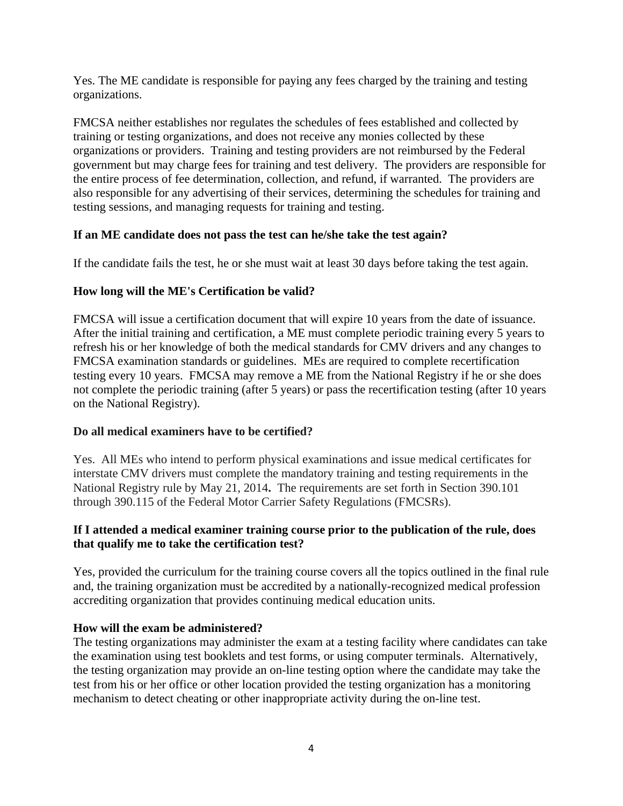Yes. The ME candidate is responsible for paying any fees charged by the training and testing organizations.

FMCSA neither establishes nor regulates the schedules of fees established and collected by training or testing organizations, and does not receive any monies collected by these organizations or providers. Training and testing providers are not reimbursed by the Federal government but may charge fees for training and test delivery. The providers are responsible for the entire process of fee determination, collection, and refund, if warranted. The providers are also responsible for any advertising of their services, determining the schedules for training and testing sessions, and managing requests for training and testing.

#### **If an ME candidate does not pass the test can he/she take the test again?**

If the candidate fails the test, he or she must wait at least 30 days before taking the test again.

### **How long will the ME's Certification be valid?**

FMCSA will issue a certification document that will expire 10 years from the date of issuance. After the initial training and certification, a ME must complete periodic training every 5 years to refresh his or her knowledge of both the medical standards for CMV drivers and any changes to FMCSA examination standards or guidelines. MEs are required to complete recertification testing every 10 years. FMCSA may remove a ME from the National Registry if he or she does not complete the periodic training (after 5 years) or pass the recertification testing (after 10 years on the National Registry).

#### **Do all medical examiners have to be certified?**

Yes. All MEs who intend to perform physical examinations and issue medical certificates for interstate CMV drivers must complete the mandatory training and testing requirements in the National Registry rule by May 21, 2014**.** The requirements are set forth in Section 390.101 through 390.115 of the Federal Motor Carrier Safety Regulations (FMCSRs).

#### **If I attended a medical examiner training course prior to the publication of the rule, does that qualify me to take the certification test?**

Yes, provided the curriculum for the training course covers all the topics outlined in the final rule and, the training organization must be accredited by a nationally-recognized medical profession accrediting organization that provides continuing medical education units.

#### **How will the exam be administered?**

The testing organizations may administer the exam at a testing facility where candidates can take the examination using test booklets and test forms, or using computer terminals. Alternatively, the testing organization may provide an on-line testing option where the candidate may take the test from his or her office or other location provided the testing organization has a monitoring mechanism to detect cheating or other inappropriate activity during the on-line test.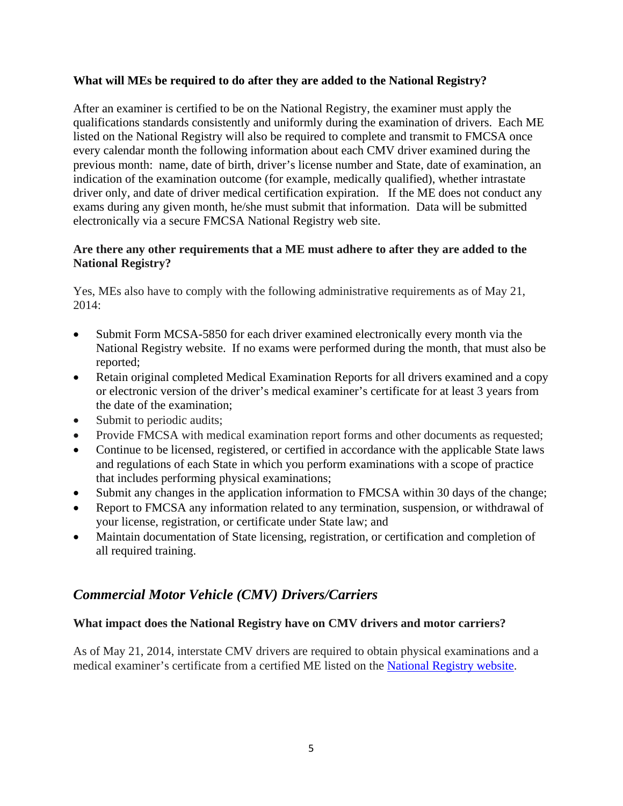#### **What will MEs be required to do after they are added to the National Registry?**

After an examiner is certified to be on the National Registry, the examiner must apply the qualifications standards consistently and uniformly during the examination of drivers. Each ME listed on the National Registry will also be required to complete and transmit to FMCSA once every calendar month the following information about each CMV driver examined during the previous month: name, date of birth, driver's license number and State, date of examination, an indication of the examination outcome (for example, medically qualified), whether intrastate driver only, and date of driver medical certification expiration. If the ME does not conduct any exams during any given month, he/she must submit that information. Data will be submitted electronically via a secure FMCSA National Registry web site.

#### **Are there any other requirements that a ME must adhere to after they are added to the National Registry?**

Yes, MEs also have to comply with the following administrative requirements as of May 21, 2014:

- Submit Form MCSA-5850 for each driver examined electronically every month via the National Registry website. If no exams were performed during the month, that must also be reported;
- Retain original completed Medical Examination Reports for all drivers examined and a copy or electronic version of the driver's medical examiner's certificate for at least 3 years from the date of the examination;
- Submit to periodic audits;
- Provide FMCSA with medical examination report forms and other documents as requested;
- Continue to be licensed, registered, or certified in accordance with the applicable State laws and regulations of each State in which you perform examinations with a scope of practice that includes performing physical examinations;
- Submit any changes in the application information to FMCSA within 30 days of the change;
- Report to FMCSA any information related to any termination, suspension, or withdrawal of your license, registration, or certificate under State law; and
- Maintain documentation of State licensing, registration, or certification and completion of all required training.

# *Commercial Motor Vehicle (CMV) Drivers/Carriers*

### **What impact does the National Registry have on CMV drivers and motor carriers?**

As of May 21, 2014, interstate CMV drivers are required to obtain physical examinations and a medical examiner's certificate from a certified ME listed on the National Registry website.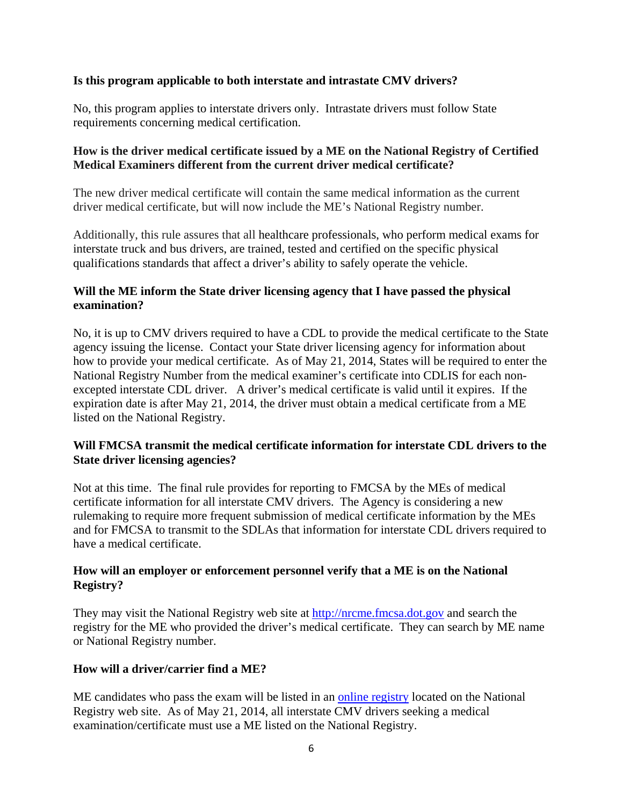#### **Is this program applicable to both interstate and intrastate CMV drivers?**

No, this program applies to interstate drivers only. Intrastate drivers must follow State requirements concerning medical certification.

#### **How is the driver medical certificate issued by a ME on the National Registry of Certified Medical Examiners different from the current driver medical certificate?**

The new driver medical certificate will contain the same medical information as the current driver medical certificate, but will now include the ME's National Registry number.

Additionally, this rule assures that all healthcare professionals, who perform medical exams for interstate truck and bus drivers, are trained, tested and certified on the specific physical qualifications standards that affect a driver's ability to safely operate the vehicle.

#### **Will the ME inform the State driver licensing agency that I have passed the physical examination?**

No, it is up to CMV drivers required to have a CDL to provide the medical certificate to the State agency issuing the license. Contact your State driver licensing agency for information about how to provide your medical certificate. As of May 21, 2014, States will be required to enter the National Registry Number from the medical examiner's certificate into CDLIS for each nonexcepted interstate CDL driver. A driver's medical certificate is valid until it expires. If the expiration date is after May 21, 2014, the driver must obtain a medical certificate from a ME listed on the National Registry.

### **Will FMCSA transmit the medical certificate information for interstate CDL drivers to the State driver licensing agencies?**

Not at this time. The final rule provides for reporting to FMCSA by the MEs of medical certificate information for all interstate CMV drivers. The Agency is considering a new rulemaking to require more frequent submission of medical certificate information by the MEs and for FMCSA to transmit to the SDLAs that information for interstate CDL drivers required to have a medical certificate.

### **How will an employer or enforcement personnel verify that a ME is on the National Registry?**

They may visit the National Registry web site at http://nrcme.fmcsa.dot.gov and search the registry for the ME who provided the driver's medical certificate. They can search by ME name or National Registry number.

### **How will a driver/carrier find a ME?**

ME candidates who pass the exam will be listed in an online registry located on the National Registry web site. As of May 21, 2014, all interstate CMV drivers seeking a medical examination/certificate must use a ME listed on the National Registry.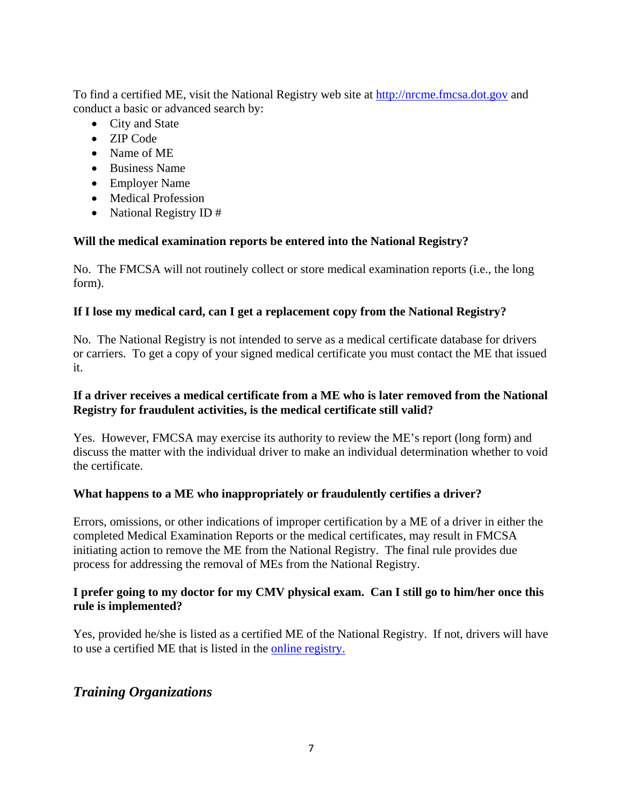To find a certified ME, visit the National Registry web site at http://nrcme.fmcsa.dot.gov and conduct a basic or advanced search by:

- City and State
- ZIP Code
- Name of ME
- Business Name
- Employer Name
- Medical Profession
- National Registry ID #

## **Will the medical examination reports be entered into the National Registry?**

No. The FMCSA will not routinely collect or store medical examination reports (i.e., the long form).

## **If I lose my medical card, can I get a replacement copy from the National Registry?**

No. The National Registry is not intended to serve as a medical certificate database for drivers or carriers. To get a copy of your signed medical certificate you must contact the ME that issued it.

### **If a driver receives a medical certificate from a ME who is later removed from the National Registry for fraudulent activities, is the medical certificate still valid?**

Yes. However, FMCSA may exercise its authority to review the ME's report (long form) and discuss the matter with the individual driver to make an individual determination whether to void the certificate.

### **What happens to a ME who inappropriately or fraudulently certifies a driver?**

Errors, omissions, or other indications of improper certification by a ME of a driver in either the completed Medical Examination Reports or the medical certificates, may result in FMCSA initiating action to remove the ME from the National Registry. The final rule provides due process for addressing the removal of MEs from the National Registry.

## **I prefer going to my doctor for my CMV physical exam. Can I still go to him/her once this rule is implemented?**

Yes, provided he/she is listed as a certified ME of the National Registry. If not, drivers will have to use a certified ME that is listed in the online registry.

# *Training Organizations*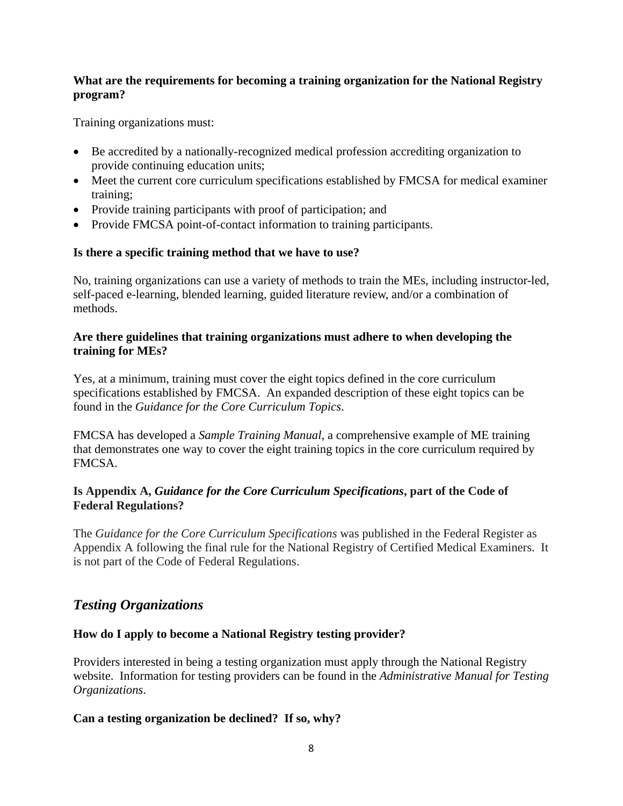### **What are the requirements for becoming a training organization for the National Registry program?**

Training organizations must:

- Be accredited by a nationally-recognized medical profession accrediting organization to provide continuing education units;
- Meet the current core curriculum specifications established by FMCSA for medical examiner training;
- Provide training participants with proof of participation; and
- Provide FMCSA point-of-contact information to training participants.

### **Is there a specific training method that we have to use?**

No, training organizations can use a variety of methods to train the MEs, including instructor-led, self-paced e-learning, blended learning, guided literature review, and/or a combination of methods.

#### **Are there guidelines that training organizations must adhere to when developing the training for MEs?**

Yes, at a minimum, training must cover the eight topics defined in the core curriculum specifications established by FMCSA. An expanded description of these eight topics can be found in the *Guidance for the Core Curriculum Topics*.

FMCSA has developed a *Sample Training Manual*, a comprehensive example of ME training that demonstrates one way to cover the eight training topics in the core curriculum required by FMCSA.

### **Is Appendix A,** *Guidance for the Core Curriculum Specifications***, part of the Code of Federal Regulations?**

The *Guidance for the Core Curriculum Specifications* was published in the Federal Register as Appendix A following the final rule for the National Registry of Certified Medical Examiners. It is not part of the Code of Federal Regulations.

# *Testing Organizations*

### **How do I apply to become a National Registry testing provider?**

Providers interested in being a testing organization must apply through the National Registry website. Information for testing providers can be found in the *Administrative Manual for Testing Organizations*.

### **Can a testing organization be declined? If so, why?**